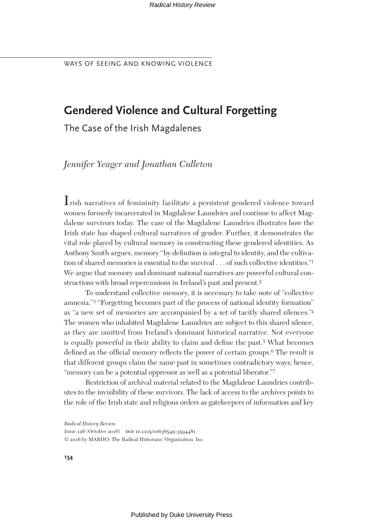# **Gendered Violence and Cultural Forgetting**

The Case of the Irish Magdalenes

*Jennifer Yeager and Jonathan Culleton*

Irish narratives of femininity facilitate a persistent gendered violence toward women formerly incarcerated in Magdalene Laundries and continue to affect Magdalene survivors today. The case of the Magdalene Laundries illustrates how the Irish state has shaped cultural narratives of gender. Further, it demonstrates the vital role played by cultural memory in constructing these gendered identities. As Anthony Smith argues, memory "by definition is integral to identity, and the cultivation of shared memories is essential to the survival . . . of such collective identities."1 We argue that memory and dominant national narratives are powerful cultural constructions with broad repercussions in Ireland's past and present.2

To understand collective memory, it is necessary to take note of "collective amnesia."3 "Forgetting becomes part of the process of national identity formation" as "a new set of memories are accompanied by a set of tacitly shared silences."4 The women who inhabited Magdalene Laundries are subject to this shared silence, as they are omitted from Ireland's dominant historical narrative. Not everyone is equally powerful in their ability to claim and define the past.5 What becomes defined as the official memory reflects the power of certain groups.6 The result is that different groups claim the same past in sometimes contradictory ways; hence, "memory can be a potential oppressor as well as a potential liberator."<sup>7</sup>

Restriction of archival material related to the Magdalene Laundries contributes to the invisibility of these survivors. The lack of access to the archives points to the role of the Irish state and religious orders as gatekeepers of information and key

*Radical History Review*

Issue 126 (October 2016) DOI 10.1215/01636545-3594481 © 2016 by MARHO: The Radical Historians' Organization, Inc.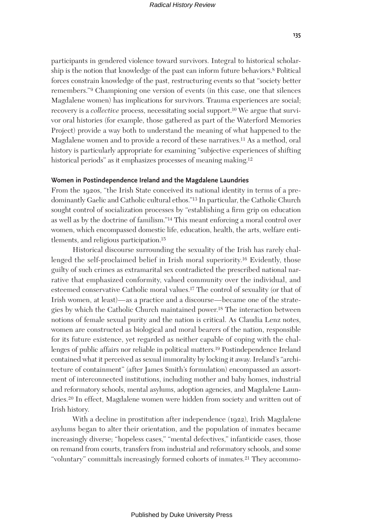participants in gendered violence toward survivors. Integral to historical scholarship is the notion that knowledge of the past can inform future behaviors.8 Political forces constrain knowledge of the past, restructuring events so that "society better remembers."9 Championing one version of events (in this case, one that silences Magdalene women) has implications for survivors. Trauma experiences are social; recovery is a *collective* process, necessitating social support.10 We argue that survivor oral histories (for example, those gathered as part of the Waterford Memories Project) provide a way both to understand the meaning of what happened to the Magdalene women and to provide a record of these narratives.11 As a method, oral history is particularly appropriate for examining "subjective experiences of shifting historical periods" as it emphasizes processes of meaning making.<sup>12</sup>

## **Women in Postindependence Ireland and the Magdalene Laundries**

From the 1920s, "the Irish State conceived its national identity in terms of a predominantly Gaelic and Catholic cultural ethos."13 In particular, the Catholic Church sought control of socialization processes by "establishing a firm grip on education as well as by the doctrine of familism."14 This meant enforcing a moral control over women, which encompassed domestic life, education, health, the arts, welfare entitlements, and religious participation.15

Historical discourse surrounding the sexuality of the Irish has rarely challenged the self-proclaimed belief in Irish moral superiority.16 Evidently, those guilty of such crimes as extramarital sex contradicted the prescribed national narrative that emphasized conformity, valued community over the individual, and esteemed conservative Catholic moral values.17 The control of sexuality (or that of Irish women, at least)—as a practice and a discourse—became one of the strategies by which the Catholic Church maintained power.18 The interaction between notions of female sexual purity and the nation is critical. As Claudia Lenz notes, women are constructed as biological and moral bearers of the nation, responsible for its future existence, yet regarded as neither capable of coping with the challenges of public affairs nor reliable in political matters.19 Postindependence Ireland contained what it perceived as sexual immorality by locking it away. Ireland's "architecture of containment" (after James Smith's formulation) encompassed an assortment of interconnected institutions, including mother and baby homes, industrial and reformatory schools, mental asylums, adoption agencies, and Magdalene Laundries.20 In effect, Magdalene women were hidden from society and written out of Irish history.

With a decline in prostitution after independence (1922), Irish Magdalene asylums began to alter their orientation, and the population of inmates became increasingly diverse; "hopeless cases," "mental defectives," infanticide cases, those on remand from courts, transfers from industrial and reformatory schools, and some "voluntary" committals increasingly formed cohorts of inmates.21 They accommo-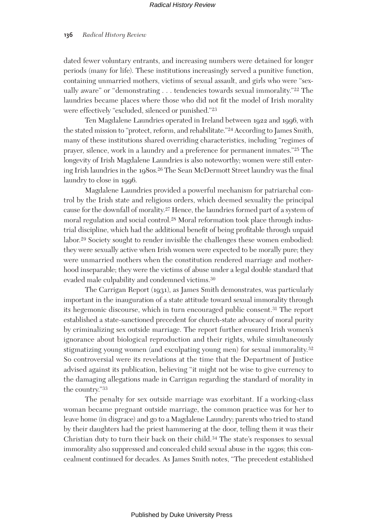dated fewer voluntary entrants, and increasing numbers were detained for longer periods (many for life). These institutions increasingly served a punitive function, containing unmarried mothers, victims of sexual assault, and girls who were "sexually aware" or "demonstrating . . . tendencies towards sexual immorality."22 The laundries became places where those who did not fit the model of Irish morality were effectively "excluded, silenced or punished."23

Ten Magdalene Laundries operated in Ireland between 1922 and 1996, with the stated mission to "protect, reform, and rehabilitate."24 According to James Smith, many of these institutions shared overriding characteristics, including "regimes of prayer, silence, work in a laundry and a preference for permanent inmates."25 The longevity of Irish Magdalene Laundries is also noteworthy; women were still entering Irish laundries in the 1980s.26 The Sean McDermott Street laundry was the final laundry to close in 1996.

Magdalene Laundries provided a powerful mechanism for patriarchal control by the Irish state and religious orders, which deemed sexuality the principal cause for the downfall of morality.27 Hence, the laundries formed part of a system of moral regulation and social control.28 Moral reformation took place through industrial discipline, which had the additional benefit of being profitable through unpaid labor.29 Society sought to render invisible the challenges these women embodied: they were sexually active when Irish women were expected to be morally pure; they were unmarried mothers when the constitution rendered marriage and motherhood inseparable; they were the victims of abuse under a legal double standard that evaded male culpability and condemned victims.30

The Carrigan Report (1931), as James Smith demonstrates, was particularly important in the inauguration of a state attitude toward sexual immorality through its hegemonic discourse, which in turn encouraged public consent.31 The report established a state-sanctioned precedent for church-state advocacy of moral purity by criminalizing sex outside marriage. The report further ensured Irish women's ignorance about biological reproduction and their rights, while simultaneously stigmatizing young women (and exculpating young men) for sexual immorality.32 So controversial were its revelations at the time that the Department of Justice advised against its publication, believing "it might not be wise to give currency to the damaging allegations made in Carrigan regarding the standard of morality in the country."33

The penalty for sex outside marriage was exorbitant. If a working-class woman became pregnant outside marriage, the common practice was for her to leave home (in disgrace) and go to a Magdalene Laundry; parents who tried to stand by their daughters had the priest hammering at the door, telling them it was their Christian duty to turn their back on their child.34 The state's responses to sexual immorality also suppressed and concealed child sexual abuse in the 1930s; this concealment continued for decades. As James Smith notes, "The precedent established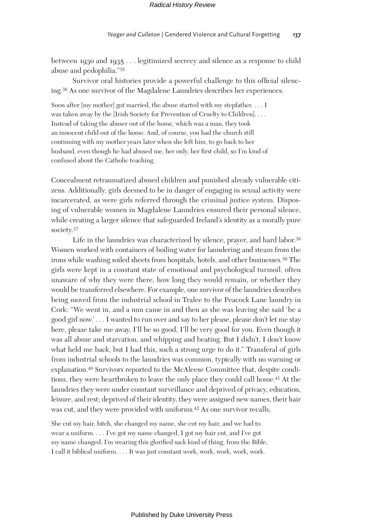between 1930 and 1935 . . . legitimized secrecy and silence as a response to child abuse and pedophilia."35

Survivor oral histories provide a powerful challenge to this official silencing.36 As one survivor of the Magdalene Laundries describes her experiences:

Soon after [my mother] got married, the abuse started with my stepfather. . . . I was taken away by the [Irish Society for Prevention of Cruelty to Children]. . . . Instead of taking the abuser out of the home, which was a man, they took an innocent child out of the home. And, of course, you had the church still continuing with my mother years later when she left him, to go back to her husband, even though he had abused me, her only, her first child, so I'm kind of confused about the Catholic teaching.

Concealment retraumatized abused children and punished already vulnerable citizens. Additionally, girls deemed to be in danger of engaging in sexual activity were incarcerated, as were girls referred through the criminal justice system. Disposing of vulnerable women in Magdalene Laundries ensured their personal silence, while creating a larger silence that safeguarded Ireland's identity as a morally pure society.37

Life in the laundries was characterized by silence, prayer, and hard labor.<sup>38</sup> Women worked with containers of boiling water for laundering and steam from the irons while washing soiled sheets from hospitals, hotels, and other businesses.39 The girls were kept in a constant state of emotional and psychological turmoil, often unaware of why they were there, how long they would remain, or whether they would be transferred elsewhere. For example, one survivor of the laundries describes being moved from the industrial school in Tralee to the Peacock Lane laundry in Cork: "We went in, and a nun came in and then as she was leaving she said 'be a good girl now.' . . . I wanted to run over and say to her please, please don't let me stay here, please take me away, I'll be so good, I'll be very good for you. Even though it was all abuse and starvation, and whipping and beating. But I didn't, I don't know what held me back, but I had this, such a strong urge to do it." Transferal of girls from industrial schools to the laundries was common, typically with no warning or explanation.40 Survivors reported to the McAleese Committee that, despite conditions, they were heartbroken to leave the only place they could call home.41 At the laundries they were under constant surveillance and deprived of privacy, education, leisure, and rest; deprived of their identity, they were assigned new names, their hair was cut, and they were provided with uniforms.42 As one survivor recalls,

She cut my hair, bitch, she changed my name, she cut my hair, and we had to wear a uniform. . . . I've got my name changed, I got my hair cut, and I've got my name changed. I'm wearing this glorified sack kind of thing, from the Bible, I call it biblical uniform. . . . It was just constant work, work, work, work, work.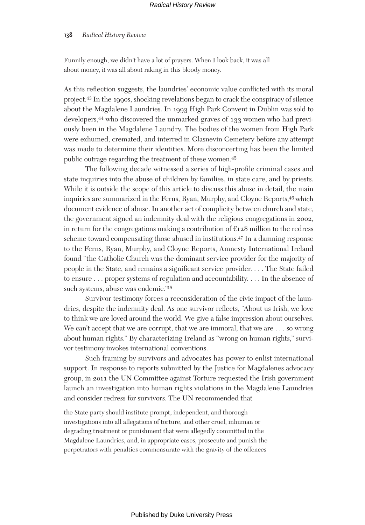#### **138** *Radical History Review*

Funnily enough, we didn't have a lot of prayers. When I look back, it was all about money, it was all about raking in this bloody money.

As this reflection suggests, the laundries' economic value conflicted with its moral project.43 In the 1990s, shocking revelations began to crack the conspiracy of silence about the Magdalene Laundries. In 1993 High Park Convent in Dublin was sold to developers,44 who discovered the unmarked graves of 133 women who had previously been in the Magdalene Laundry. The bodies of the women from High Park were exhumed, cremated, and interred in Glasnevin Cemetery before any attempt was made to determine their identities. More disconcerting has been the limited public outrage regarding the treatment of these women.45

The following decade witnessed a series of high-profile criminal cases and state inquiries into the abuse of children by families, in state care, and by priests. While it is outside the scope of this article to discuss this abuse in detail, the main inquiries are summarized in the Ferns, Ryan, Murphy, and Cloyne Reports,46 which document evidence of abuse. In another act of complicity between church and state, the government signed an indemnity deal with the religious congregations in 2002, in return for the congregations making a contribution of  $E_128$  million to the redress scheme toward compensating those abused in institutions.47 In a damning response to the Ferns, Ryan, Murphy, and Cloyne Reports, Amnesty International Ireland found "the Catholic Church was the dominant service provider for the majority of people in the State, and remains a significant service provider. . . . The State failed to ensure . . . proper systems of regulation and accountability. . . . In the absence of such systems, abuse was endemic."48

Survivor testimony forces a reconsideration of the civic impact of the laundries, despite the indemnity deal. As one survivor reflects, "About us Irish, we love to think we are loved around the world. We give a false impression about ourselves. We can't accept that we are corrupt, that we are immoral, that we are . . . so wrong about human rights." By characterizing Ireland as "wrong on human rights," survivor testimony invokes international conventions.

Such framing by survivors and advocates has power to enlist international support. In response to reports submitted by the Justice for Magdalenes advocacy group, in 2011 the UN Committee against Torture requested the Irish government launch an investigation into human rights violations in the Magdalene Laundries and consider redress for survivors. The UN recommended that

the State party should institute prompt, independent, and thorough investigations into all allegations of torture, and other cruel, inhuman or degrading treatment or punishment that were allegedly committed in the Magdalene Laundries, and, in appropriate cases, prosecute and punish the perpetrators with penalties commensurate with the gravity of the offences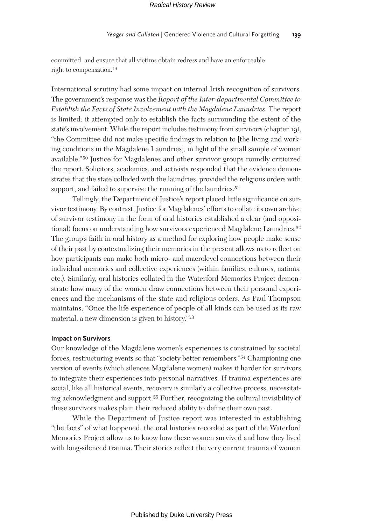committed, and ensure that all victims obtain redress and have an enforceable right to compensation.49

International scrutiny had some impact on internal Irish recognition of survivors. The government's response was the *Report of the Inter-departmental Committee to Establish the Facts of State Involvement with the Magdalene Laundries.* The report is limited: it attempted only to establish the facts surrounding the extent of the state's involvement. While the report includes testimony from survivors (chapter 19), "the Committee did not make specific findings in relation to [the living and working conditions in the Magdalene Laundries], in light of the small sample of women available."50 Justice for Magdalenes and other survivor groups roundly criticized the report. Solicitors, academics, and activists responded that the evidence demonstrates that the state colluded with the laundries, provided the religious orders with support, and failed to supervise the running of the laundries.<sup>51</sup>

Tellingly, the Department of Justice's report placed little significance on survivor testimony. By contrast, Justice for Magdalenes' efforts to collate its own archive of survivor testimony in the form of oral histories established a clear (and oppositional) focus on understanding how survivors experienced Magdalene Laundries.52 The group's faith in oral history as a method for exploring how people make sense of their past by contextualizing their memories in the present allows us to reflect on how participants can make both micro- and macrolevel connections between their individual memories and collective experiences (within families, cultures, nations, etc.). Similarly, oral histories collated in the Waterford Memories Project demonstrate how many of the women draw connections between their personal experiences and the mechanisms of the state and religious orders. As Paul Thompson maintains, "Once the life experience of people of all kinds can be used as its raw material, a new dimension is given to history."53

## **Impact on Survivors**

Our knowledge of the Magdalene women's experiences is constrained by societal forces, restructuring events so that "society better remembers."54 Championing one version of events (which silences Magdalene women) makes it harder for survivors to integrate their experiences into personal narratives. If trauma experiences are social, like all historical events, recovery is similarly a collective process, necessitating acknowledgment and support.55 Further, recognizing the cultural invisibility of these survivors makes plain their reduced ability to define their own past.

While the Department of Justice report was interested in establishing "the facts" of what happened, the oral histories recorded as part of the Waterford Memories Project allow us to know how these women survived and how they lived with long-silenced trauma. Their stories reflect the very current trauma of women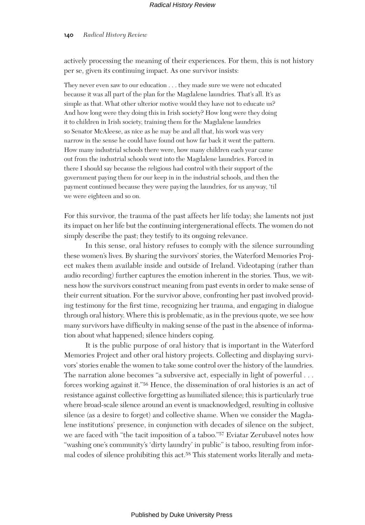actively processing the meaning of their experiences. For them, this is not history per se, given its continuing impact. As one survivor insists:

They never even saw to our education . . . they made sure we were not educated because it was all part of the plan for the Magdalene laundries. That's all. It's as simple as that. What other ulterior motive would they have not to educate us? And how long were they doing this in Irish society? How long were they doing it to children in Irish society, training them for the Magdalene laundries so Senator McAleese, as nice as he may be and all that, his work was very narrow in the sense he could have found out how far back it went the pattern. How many industrial schools there were, how many children each year came out from the industrial schools went into the Magdalene laundries. Forced in there I should say because the religious had control with their support of the government paying them for our keep in in the industrial schools, and then the payment continued because they were paying the laundries, for us anyway, 'til we were eighteen and so on.

For this survivor, the trauma of the past affects her life today; she laments not just its impact on her life but the continuing intergenerational effects. The women do not simply describe the past; they testify to its ongoing relevance.

In this sense, oral history refuses to comply with the silence surrounding these women's lives. By sharing the survivors' stories, the Waterford Memories Project makes them available inside and outside of Ireland. Videotaping (rather than audio recording) further captures the emotion inherent in the stories. Thus, we witness how the survivors construct meaning from past events in order to make sense of their current situation. For the survivor above, confronting her past involved providing testimony for the first time, recognizing her trauma, and engaging in dialogue through oral history. Where this is problematic, as in the previous quote, we see how many survivors have difficulty in making sense of the past in the absence of information about what happened; silence hinders coping.

It is the public purpose of oral history that is important in the Waterford Memories Project and other oral history projects. Collecting and displaying survivors' stories enable the women to take some control over the history of the laundries. The narration alone becomes "a subversive act, especially in light of powerful . . . forces working against it."56 Hence, the dissemination of oral histories is an act of resistance against collective forgetting as humiliated silence; this is particularly true where broad-scale silence around an event is unacknowledged, resulting in collusive silence (as a desire to forget) and collective shame. When we consider the Magdalene institutions' presence, in conjunction with decades of silence on the subject, we are faced with "the tacit imposition of a taboo."57 Eviatar Zerubavel notes how "washing one's community's 'dirty laundry' in public" is taboo, resulting from informal codes of silence prohibiting this act.58 This statement works literally and meta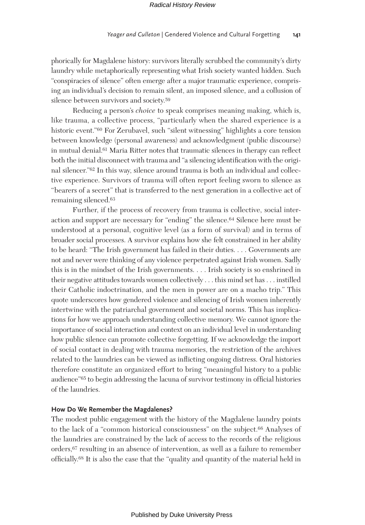phorically for Magdalene history: survivors literally scrubbed the community's dirty laundry while metaphorically representing what Irish society wanted hidden. Such "conspiracies of silence" often emerge after a major traumatic experience, comprising an individual's decision to remain silent, an imposed silence, and a collusion of silence between survivors and society.59

Reducing a person's *choice* to speak comprises meaning making, which is, like trauma, a collective process, "particularly when the shared experience is a historic event."60 For Zerubavel, such "silent witnessing" highlights a core tension between knowledge (personal awareness) and acknowledgment (public discourse) in mutual denial.61 Maria Ritter notes that traumatic silences in therapy can reflect both the initial disconnect with trauma and "a silencing identification with the original silencer."62 In this way, silence around trauma is both an individual and collective experience. Survivors of trauma will often report feeling sworn to silence as "bearers of a secret" that is transferred to the next generation in a collective act of remaining silenced.63

Further, if the process of recovery from trauma is collective, social interaction and support are necessary for "ending" the silence.64 Silence here must be understood at a personal, cognitive level (as a form of survival) and in terms of broader social processes. A survivor explains how she felt constrained in her ability to be heard: "The Irish government has failed in their duties. . . . Governments are not and never were thinking of any violence perpetrated against Irish women. Sadly this is in the mindset of the Irish governments. . . . Irish society is so enshrined in their negative attitudes towards women collectively . . . this mind set has . . . instilled their Catholic indoctrination, and the men in power are on a macho trip." This quote underscores how gendered violence and silencing of Irish women inherently intertwine with the patriarchal government and societal norms. This has implications for how we approach understanding collective memory. We cannot ignore the importance of social interaction and context on an individual level in understanding how public silence can promote collective forgetting. If we acknowledge the import of social contact in dealing with trauma memories, the restriction of the archives related to the laundries can be viewed as inflicting ongoing distress. Oral histories therefore constitute an organized effort to bring "meaningful history to a public audience"65 to begin addressing the lacuna of survivor testimony in official histories of the laundries.

## **How Do We Remember the Magdalenes?**

The modest public engagement with the history of the Magdalene laundry points to the lack of a "common historical consciousness" on the subject.66 Analyses of the laundries are constrained by the lack of access to the records of the religious orders,67 resulting in an absence of intervention, as well as a failure to remember officially.68 It is also the case that the "quality and quantity of the material held in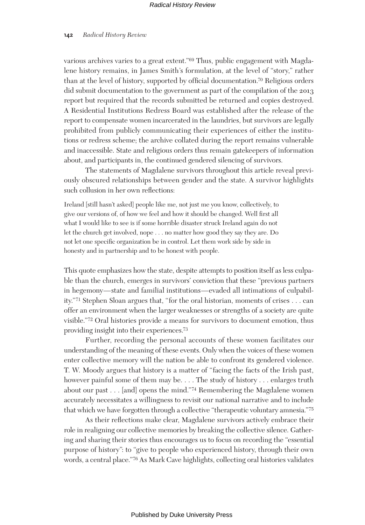various archives varies to a great extent."69 Thus, public engagement with Magdalene history remains, in James Smith's formulation, at the level of "story," rather than at the level of history, supported by official documentation.70 Religious orders did submit documentation to the government as part of the compilation of the 2013 report but required that the records submitted be returned and copies destroyed. A Residential Institutions Redress Board was established after the release of the report to compensate women incarcerated in the laundries, but survivors are legally prohibited from publicly communicating their experiences of either the institutions or redress scheme; the archive collated during the report remains vulnerable and inaccessible. State and religious orders thus remain gatekeepers of information about, and participants in, the continued gendered silencing of survivors.

The statements of Magdalene survivors throughout this article reveal previously obscured relationships between gender and the state. A survivor highlights such collusion in her own reflections:

Ireland [still hasn't asked] people like me, not just me you know, collectively, to give our versions of, of how we feel and how it should be changed. Well first all what I would like to see is if some horrible disaster struck Ireland again do not let the church get involved, nope . . . no matter how good they say they are. Do not let one specific organization be in control. Let them work side by side in honesty and in partnership and to be honest with people.

This quote emphasizes how the state, despite attempts to position itself as less culpable than the church, emerges in survivors' conviction that these "previous partners in hegemony—state and familial institutions—evaded all intimations of culpability."71 Stephen Sloan argues that, "for the oral historian, moments of crises . . . can offer an environment when the larger weaknesses or strengths of a society are quite visible."72 Oral histories provide a means for survivors to document emotion, thus providing insight into their experiences.73

Further, recording the personal accounts of these women facilitates our understanding of the meaning of these events. Only when the voices of these women enter collective memory will the nation be able to confront its gendered violence. T. W. Moody argues that history is a matter of "facing the facts of the Irish past, however painful some of them may be. . . . The study of history . . . enlarges truth about our past . . . [and] opens the mind."74 Remembering the Magdalene women accurately necessitates a willingness to revisit our national narrative and to include that which we have forgotten through a collective "therapeutic voluntary amnesia."75

As their reflections make clear, Magdalene survivors actively embrace their role in realigning our collective memories by breaking the collective silence. Gathering and sharing their stories thus encourages us to focus on recording the "essential purpose of history": to "give to people who experienced history, through their own words, a central place."76 As Mark Cave highlights, collecting oral histories validates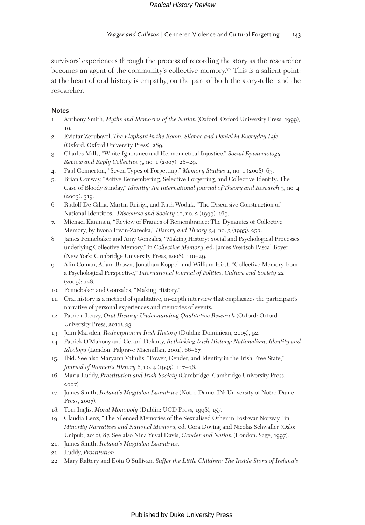survivors' experiences through the process of recording the story as the researcher becomes an agent of the community's collective memory.77 This is a salient point: at the heart of oral history is empathy, on the part of both the story-teller and the researcher.

## **Notes**

- 1. Anthony Smith, *Myths and Memories of the Nation* (Oxford: Oxford University Press, 1999), 10.
- 2. Eviatar Zerubavel, *The Elephant in the Room: Silence and Denial in Everyday Life* (Oxford: Oxford University Press), 289.
- 3. Charles Mills, "White Ignorance and Hermenuetical Injustice," *Social Epistemology Review and Reply Collective* 3, no. 1 (2007): 28–29.
- 4. Paul Connerton, "Seven Types of Forgetting," *Memory Studies* 1, no. 1 (2008): 63.
- 5. Brian Conway, "Active Remembering, Selective Forgetting, and Collective Identity: The Case of Bloody Sunday," *Identity: An International Journal of Theory and Research* 3, no. 4  $(2003): 319.$
- 6. Rudolf De Cillia, Martin Reisigl, and Ruth Wodak, "The Discursive Construction of National Identities," *Discourse and Society* 10, no. 2 (1999): 169.
- 7. Michael Kammen, "Review of Frames of Remembrance: The Dynamics of Collective Memory, by Iwona Irwin-Zarecka," *History and Theory* 34, no. 3 (1995): 253.
- 8. James Pennebaker and Amy Gonzales, "Making History: Social and Psychological Processes underlying Collective Memory," in *Collective Memory*, ed. James Wertsch Pascal Boyer (New York: Cambridge University Press, 2008), 110–29.
- 9. Alin Coman, Adam Brown, Jonathan Koppel, and William Hirst, "Collective Memory from a Psychological Perspective," *International Journal of Politics, Culture and Society* 22 (2009): 128.
- 10. Pennebaker and Gonzales, "Making History."
- 11. Oral history is a method of qualitative, in-depth interview that emphasizes the participant's narrative of personal experiences and memories of events.
- 12. Patricia Leavy, *Oral History: Understanding Qualitative Research* (Oxford: Oxford University Press, 2011), 23.
- 13. John Marsden, *Redemption in Irish History* (Dublin: Dominican, 2005), 92.
- 14. Patrick O'Mahony and Gerard Delanty, *Rethinking Irish History: Nationalism, Identity and Ideology* (London: Palgrave Macmillan, 2001), 66–67.
- 15. Ibid. See also Maryann Valiulis, "Power, Gender, and Identity in the Irish Free State," *Journal of Women's History* 6, no. 4 (1995): 117–36.
- 16. Maria Luddy, *Prostitution and Irish Society* (Cambridge: Cambridge University Press, 2007).
- 17. James Smith, *Ireland's Magdalen Laundries* (Notre Dame, IN: University of Notre Dame Press, 2007).
- 18. Tom Inglis, *Moral Monopoly* (Dublin: UCD Press, 1998), 157.
- 19. Claudia Lenz, "The Silenced Memories of the Sexualised Other in Post-war Norway," in *Minority Narratives and National Memory*, ed. Cora Doving and Nicolas Schwaller (Oslo: Unipub, 2010), 87. See also Nina Yuval Davis, *Gender and Nation* (London: Sage, 1997).
- 20. James Smith, *Ireland's Magdalen Laundries*.
- 21. Luddy, *Prostitution*.
- 22. Mary Raftery and Eoin O'Sullivan, *Suffer the Little Children: The Inside Story of Ireland's*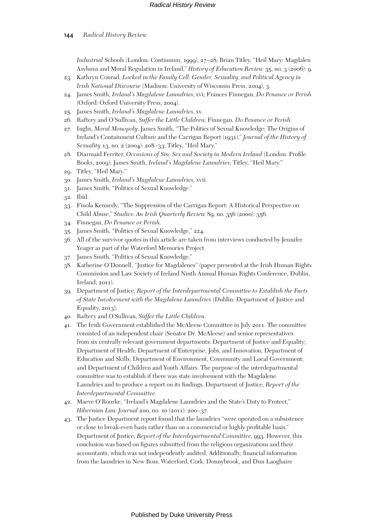*Industrial* Schools (London: Continuum, 1999), 27–28; Brian Titley, "Heil Mary: Magdalen Asylums and Moral Regulation in Ireland," *History of Education Review* 35, no. 3 (2006): 9.

- 23. Kathryn Conrad, *Locked in the Family Cell: Gender, Sexuality, and Political Agency in Irish National Discourse* (Madison: University of Wisconsin Press, 2004), 3.
- 24. James Smith, *Ireland's Magdalene Laundries*, xvi; Frances Finnegan, *Do Penance or Perish* (Oxford: Oxford University Press, 2004).
- 25. James Smith, *Ireland's Magdalene Laundries*, xv.
- 26. Raftery and O'Sullivan, *Suffer the Little Children*; Finnegan, *Do Penance or Perish.*
- 27. Inglis, *Moral Monopoly*; James Smith, "The Politics of Sexual Knowledge: The Origins of Ireland's Containment Culture and the Carrigan Report (1931)," *Journal of the History of Sexuality* 13, no. 2 (2004): 208–33; Titley, "Heil Mary."
- 28. Diarmaid Ferriter, *Occasions of Sin: Sex and Society in Modern Ireland* (London: Profile Books, 2009); James Smith, *Ireland's Magdalene Laundries*; Titley, "Heil Mary."
- 29. Titley, "Heil Mary."
- 30. James Smith, *Ireland's Magdalene Laundries,* xvii.
- 31. James Smith, "Politics of Sexual Knowledge."
- 32. Ibid.
- 33. Finola Kennedy, "The Suppression of the Carrigan Report: A Historical Perspective on Child Abuse," *Studies: An Irish Quarterly Review* 89, no. 356 (2000): 356.
- 34. Finnegan, *Do Penance or Perish.*
- 35. James Smith, "Politics of Sexual Knowledge," 224.
- 36. All of the survivor quotes in this article are taken from interviews conducted by Jennifer Yeager as part of the Waterford Memories Project.
- 37. James Smith, "Politics of Sexual Knowledge."
- 38. Katherine O'Donnell, "Justice for Magdalenes" (paper presented at the Irish Human Rights Commission and Law Society of Ireland Ninth Annual Human Rights Conference, Dublin, Ireland, 2011).
- 39. Department of Justice, *Report of the Interdepartmental Committee to Establish the Facts of State Involvement with the Magdalene Laundries* (Dublin: Department of Justice and Equality, 2013).
- 40. Raftery and O'Sullivan, *Suffer the Little Children.*
- 41. The Irish Government established the McAleese Committee in July 2011. The committee consisted of an independent chair (Senator Dr. McAleese) and senior representatives from six centrally relevant government departments: Department of Justice and Equality; Department of Health; Department of Enterprise, Jobs, and Innovation; Department of Education and Skills; Department of Environment, Community and Local Government; and Department of Children and Youth Affairs. The purpose of the interdepartmental committee was to establish if there was state involvement with the Magdalene Laundries and to produce a report on its findings. Department of Justice, *Report of the Interdepartmental Committee.*
- 42. Maeve O'Rourke, "Ireland's Magdalene Laundries and the State's Duty to Protect," *Hibernian Law Journal* 200, no. 10 (2011): 200–37.
- 43. The Justice Department report found that the laundries "were operated on a subsistence or close to break-even basis rather than on a commercial or highly profitable basis." Department of Justice, *Report of the Interdepartmental Committee*, 993. However, this conclusion was based on figures submitted from the religious organizations and their accountants, which was not independently audited. Additionally, financial information from the laundries in New Ross, Waterford, Cork, Donnybrook, and Dun Laoghaire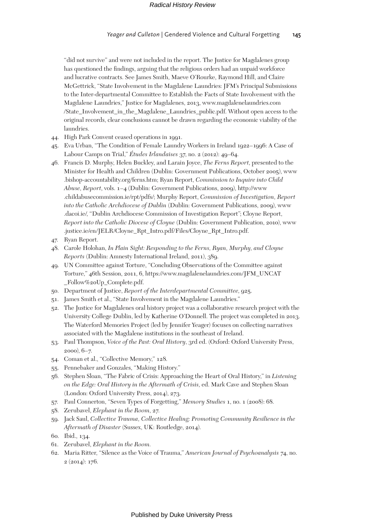"did not survive" and were not included in the report. The Justice for Magdalenes group has questioned the findings, arguing that the religious orders had an unpaid workforce and lucrative contracts. See James Smith, Maeve O'Rourke, Raymond Hill, and Claire McGettrick, "State Involvement in the Magdalene Laundries: JFM's Principal Submissions to the Inter-departmental Committee to Establish the Facts of State Involvement with the Magdalene Laundries," Justice for Magdalenes, 2013, www.magdalenelaundries.com /State\_Involvement\_in\_the\_Magdalene\_Laundries\_public.pdf. Without open access to the original records, clear conclusions cannot be drawn regarding the economic viability of the laundries.

- 44. High Park Convent ceased operations in 1991.
- 45. Eva Urban, "The Condition of Female Laundry Workers in Ireland 1922–1996: A Case of Labour Camps on Trial," *Études Irlandaises* 37, no. 2 (2012): 49–64.
- 46. Francis D. Murphy, Helen Buckley, and Larain Joyce, *The Ferns Report*, presented to the Minister for Health and Children (Dublin: Government Publications, October 2005), www .bishop-accountability.org/ferns.htm; Ryan Report, *Commission to Inquire into Child Abuse, Report*, vols. 1–4 (Dublin: Government Publications, 2009), http://www .childabusecommission.ie/rpt/pdfs/; Murphy Report, *Commission of Investigation, Report into the Catholic Archdiocese of Dublin* (Dublin: Government Publications, 2009), www .dacoi.ie/, "Dublin Archdiocese Commission of Investigation Report"; Cloyne Report, *Report into the Catholic Diocese of Cloyne* (Dublin: Government Publication, 2010), www .justice.ie/en/JELR/Cloyne\_Rpt\_Intro.pdf/Files/Cloyne\_Rpt\_Intro.pdf.
- 47. Ryan Report.
- 48. Carole Holohan, *In Plain Sight: Responding to the Ferns, Ryan, Murphy, and Cloyne Reports* (Dublin: Amnesty International Ireland, 2011), 389.
- 49. UN Committee against Torture, "Concluding Observations of the Committee against Torture," 46th Session, 2011, 6, https://www.magdalenelaundries.com/JFM\_UNCAT \_Follow%20Up\_Complete.pdf.
- 50. Department of Justice, *Report of the Interdepartmental Committee*, 925.
- 51. James Smith et al., "State Involvement in the Magdalene Laundries."
- 52. The Justice for Magdalenes oral history project was a collaborative research project with the University College Dublin, led by Katherine O'Donnell. The project was completed in 2013. The Waterford Memories Project (led by Jennifer Yeager) focuses on collecting narratives associated with the Magdalene institutions in the southeast of Ireland.
- 53. Paul Thompson, *Voice of the Past: Oral History*, 3rd ed. (Oxford: Oxford University Press, 2000), 6–7.
- 54. Coman et al., "Collective Memory," 128.
- 55. Pennebaker and Gonzales, "Making History."
- 56. Stephen Sloan, "The Fabric of Crisis: Approaching the Heart of Oral History," in *Listening on the Edge: Oral History in the Aftermath of Crisis*, ed. Mark Cave and Stephen Sloan (London: Oxford University Press, 2014), 273.
- 57. Paul Connerton, "Seven Types of Forgetting," *Memory Studies* 1, no. 1 (2008): 68.
- 58. Zerubavel, *Elephant in the Room*, 27.
- 59. Jack Saul, *Collective Trauma, Collective Healing: Promoting Community Resilience in the Aftermath of Disaster* (Sussex, UK: Routledge, 2014).
- 60. Ibid., 134.
- 61. Zerubavel, *Elephant in the Room.*
- 62. Maria Ritter, "Silence as the Voice of Trauma," *American Journal of Psychoanalysis* 74, no. 2 (2014): 176.